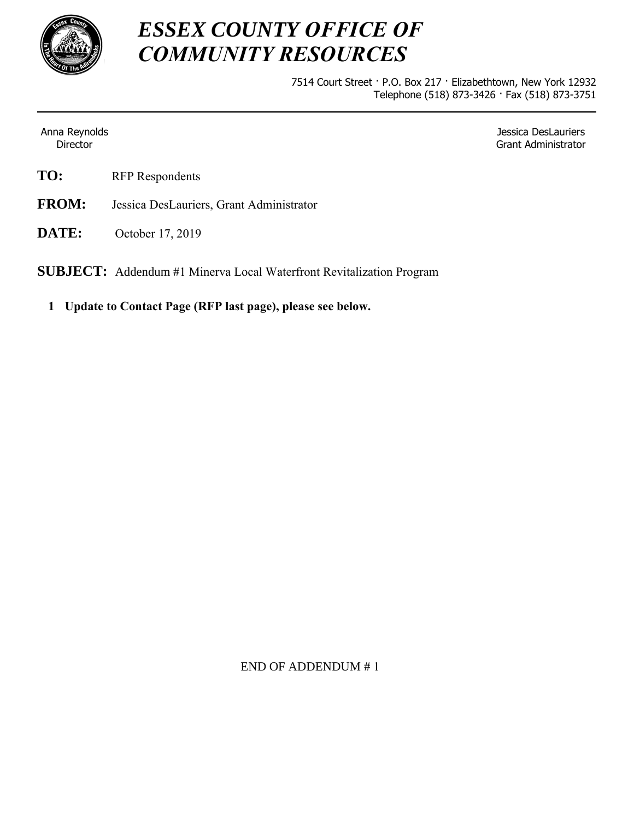

## *ESSEX COUNTY OFFICE OF COMMUNITY RESOURCES*

7514 Court Street · P.O. Box 217 · Elizabethtown, New York 12932 Telephone (518) 873-3426 · Fax (518) 873-3751

Anna Reynolds Director

Jessica DesLauriers Grant Administrator

- **TO:** RFP Respondents
- **FROM:** Jessica DesLauriers, Grant Administrator
- **DATE:** October 17, 2019

**SUBJECT:** Addendum #1 Minerva Local Waterfront Revitalization Program

**1. Update to Contact Page (RFP last page), please see below.**

END OF ADDENDUM # 1